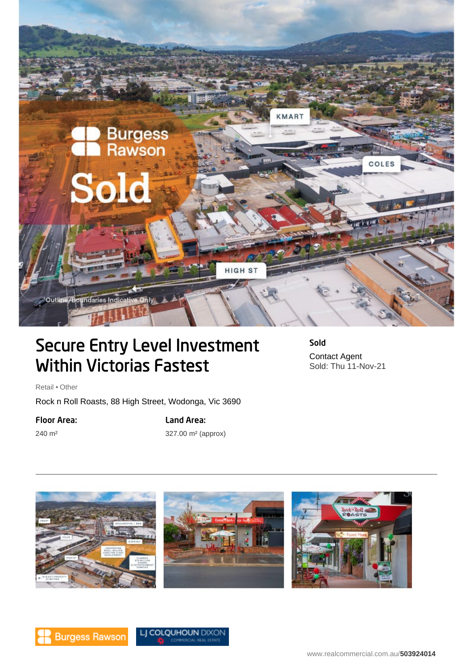

# Secure Entry Level Investment Within Victorias Fastest

Sold Contact Agent Sold: Thu 11-Nov-21

Retail • Other

Rock n Roll Roasts, 88 High Street, Wodonga, Vic 3690

### Floor Area:

240 m²

## Land Area:

327.00 m² (approx)